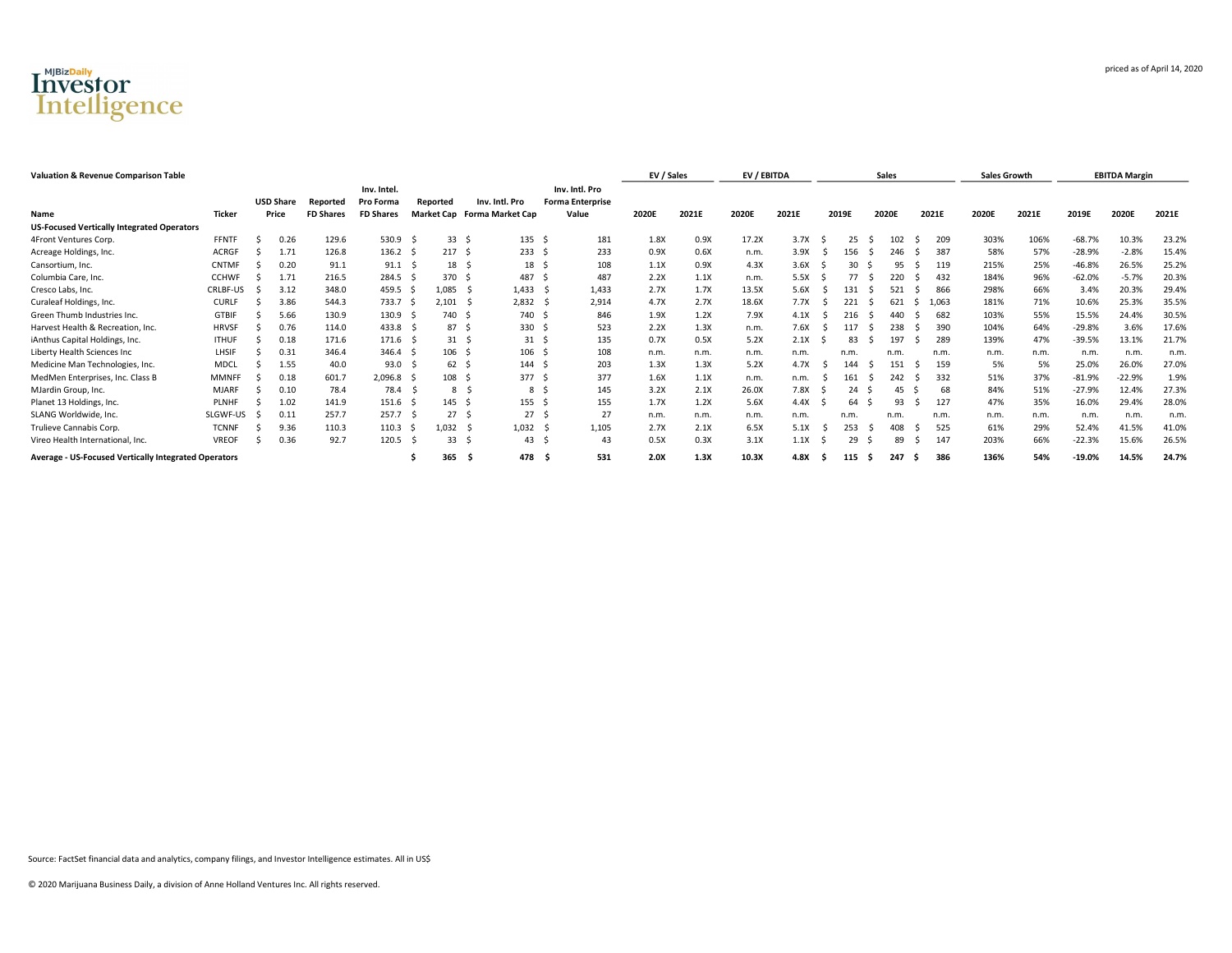

| <b>Valuation &amp; Revenue Comparison Table</b>      |              |                  |                  |                  |    |          |                             |     |                         | EV / Sales |       | EV / EBITDA |       |       |    | Sales |             | <b>Sales Growth</b> |       |          | <b>EBITDA Margin</b> |       |
|------------------------------------------------------|--------------|------------------|------------------|------------------|----|----------|-----------------------------|-----|-------------------------|------------|-------|-------------|-------|-------|----|-------|-------------|---------------------|-------|----------|----------------------|-------|
|                                                      |              |                  |                  | Inv. Intel.      |    |          |                             |     | Inv. Intl. Pro          |            |       |             |       |       |    |       |             |                     |       |          |                      |       |
|                                                      |              | <b>USD Share</b> | Reported         | Pro Forma        |    | Reported | Inv. Intl. Pro              |     | <b>Forma Enterprise</b> |            |       |             |       |       |    |       |             |                     |       |          |                      |       |
| Name                                                 | Ticker       | Price            | <b>FD Shares</b> | <b>FD Shares</b> |    |          | Market Cap Forma Market Cap |     | Value                   | 2020E      | 2021E | 2020E       | 2021E | 2019E |    | 2020E | 2021E       | 2020E               | 2021E | 2019E    | 2020E                | 2021E |
| <b>US-Focused Vertically Integrated Operators</b>    |              |                  |                  |                  |    |          |                             |     |                         |            |       |             |       |       |    |       |             |                     |       |          |                      |       |
| 4Front Ventures Corp.                                | <b>FFNTF</b> | 0.26             | 129.6            | 530.9            |    | 33       | $135 \quad $5$              |     | 181                     | 1.8X       | 0.9X  | 17.2X       | 3.7X  | 25    |    | 102   | 209<br>-S   | 303%                | 106%  | $-68.7%$ | 10.3%                | 23.2% |
| Acreage Holdings, Inc.                               | ACRGF        | 1.71             | 126.8            | 136.2            |    | 217      | 233                         |     | 233                     | 0.9X       | 0.6X  | n.m.        | 3.9X  | 156   |    | 246   | 387         | 58%                 | 57%   | $-28.9%$ | $-2.8%$              | 15.4% |
| Cansortium, Inc.                                     | <b>CNTMF</b> | 0.20             | 91.1             | 91.1             |    | 18       | 18                          |     | 108                     | 1.1X       | 0.9X  | 4.3X        | 3.6X  | 30    |    | 95    | 119         | 215%                | 25%   | $-46.8%$ | 26.5%                | 25.2% |
| Columbia Care, Inc.                                  | <b>CCHWF</b> | 1.71             | 216.5            | 284.5            |    | 370      | 487                         |     | 487                     | 2.2X       | 1.1X  | n.m.        | 5.5X  | 77    |    | 220   | 432         | 184%                | 96%   | $-62.0%$ | $-5.7%$              | 20.3% |
| Cresco Labs, Inc.                                    | CRLBF-US     | 3.12             | 348.0            | 459.5            |    | 1.085    | 1,433                       |     | 1,433                   | 2.7X       | 1.7X  | 13.5X       | 5.6X  | 131   |    | 521   | 866         | 298%                | 66%   | 3.4%     | 20.3%                | 29.4% |
| Curaleaf Holdings, Inc.                              | <b>CURLI</b> | 3.86             | 544.3            | 733.7            |    | 2.101    | 2.832                       |     | 2,914                   | 4.7X       | 2.7X  | 18.6X       | 7.7X  | 221   |    | 621   | 1.063<br>-S | 181%                | 71%   | 10.6%    | 25.3%                | 35.5% |
| Green Thumb Industries Inc.                          | <b>GTBIF</b> | 5.66             | 130.9            | 130.9            |    | 740      | 740                         |     | 846                     | 1.9X       | 1.2X  | 7.9X        | 4.1X  | 216   |    | 440   | 682         | 103%                | 55%   | 15.5%    | 24.4%                | 30.5% |
| Harvest Health & Recreation, Inc.                    | <b>HRVSF</b> | 0.76             | 114.0            | 433.8            |    | 87       | 330                         |     | 523                     | 2.2X       | 1.3X  | n.m.        | 7.6X  | 117   |    | 238   | 390<br>.S   | 104%                | 64%   | $-29.8%$ | 3.6%                 | 17.6% |
| iAnthus Capital Holdings, Inc.                       | <b>ITHUF</b> | 0.18             | 171.6            | $171.6$ \$       |    | 31       | 31                          |     | 135                     | 0.7X       | 0.5X  | 5.2X        | 2.1X  | 83    |    | 197   | 289<br>.S   | 139%                | 47%   | $-39.5%$ | 13.1%                | 21.7% |
| Liberty Health Sciences Inc                          | LHSIF        | 0.31             | 346.4            | 346.4            |    | 106      | 106                         |     | 108                     | n.m.       | n.m.  | n.m.        | n.m.  | n.m   |    | n.m   | n.m.        | n.m.                | n.m.  | n.m      | n.m                  | n.m   |
| Medicine Man Technologies, Inc.                      | MDCI         | 1.55             | 40.0             | 93.0             |    | 62       | 144                         |     | 203                     | 1.3X       | 1.3X  | 5.2X        | 4.7X  | 144   |    | 151   | 159<br>.S   | 5%                  | 5%    | 25.0%    | 26.0%                | 27.0% |
| MedMen Enterprises, Inc. Class B                     | <b>MMNFF</b> | 0.18             | 601.7            | 2,096.8 \$       |    | 108 \$   | 377 \$                      |     | 377                     | 1.6X       | 1.1X  | n.m.        | n.m.  | 161   |    | 242   | 332         | 51%                 | 37%   | $-81.9%$ | $-22.9%$             | 1.9%  |
| MJardin Group, Inc.                                  | <b>MJARF</b> | 0.10             | 78.4             | 78.4             |    | 8        | 8                           |     | 145                     | 3.2X       | 2.1X  | 26.0X       | 7.8X  | 24    |    | 45    | 68          | 84%                 | 51%   | $-27.9%$ | 12.4%                | 27.3% |
| Planet 13 Holdings, Inc.                             | <b>PLNHF</b> | 1.02             | 141.9            | 151.6            |    | 145      | 155S<br>- S                 |     | 155                     | 1.7X       | 1.2X  | 5.6X        | 4.4X  | 64    |    | 93    | 127         | 47%                 | 35%   | 16.0%    | 29.4%                | 28.0% |
| SLANG Worldwide, Inc.                                | SLGWF-US     | 0.11             | 257.7            | 257.7 S          |    | 27       | 27                          |     | 27                      | n.m.       | n.m.  | n.m.        | n.m.  | n.m.  |    | n.m   | n.m.        | n.m.                | n.m.  | n.m.     | n.m                  | n.m   |
| Trulieve Cannabis Corp.                              | <b>TCNNF</b> | 9.36             | 110.3            | 110.3            | -S | 1,032    | 1,032<br>- 5                | - S | 1,105                   | 2.7X       | 2.1X  | 6.5X        | 5.1X  | 253   |    | 408   | 525<br>.S   | 61%                 | 29%   | 52.4%    | 41.5%                | 41.0% |
| Vireo Health International, Inc.                     | <b>VREOF</b> | 0.36             | 92.7             | 120.5            |    | 33       | 43                          |     | 43                      | 0.5X       | 0.3X  | 3.1X        | 1.1X  | 29    |    | 89    | 147         | 203%                | 66%   | $-22.3%$ | 15.6%                | 26.5% |
| Average - US-Focused Vertically Integrated Operators |              |                  |                  |                  |    | 365      | 478 \$<br>- S               |     | 531                     | 2.0X       | 1.3X  | 10.3X       | 4.8X  | 115   | -S | 247   | 386<br>- S  | 136%                | 54%   | $-19.0%$ | 14.5%                | 24.7% |

priced as of April 14, 2020

Source: FactSet financial data and analytics, company filings, and Investor Intelligence estimates. All in US\$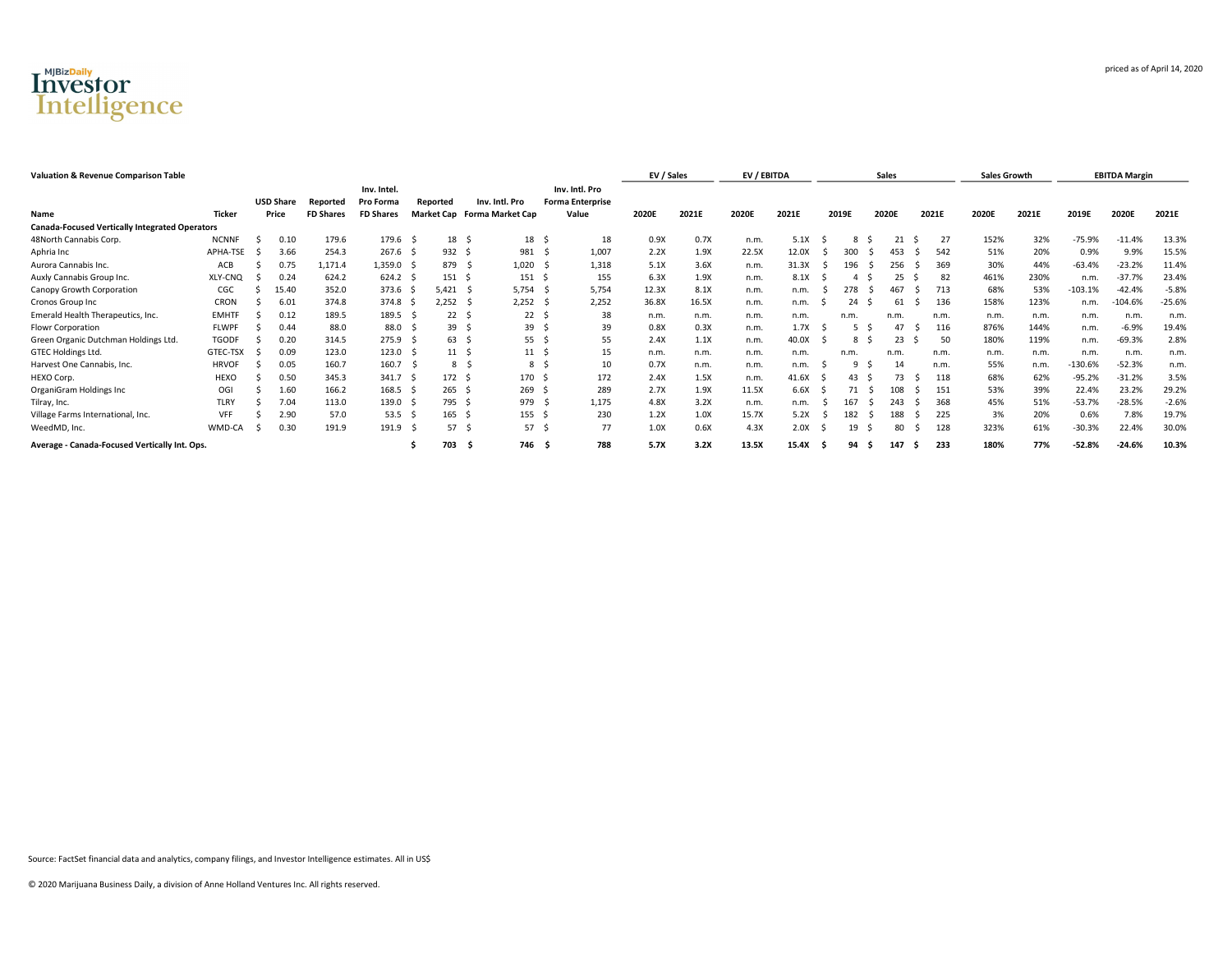

| <b>Valuation &amp; Revenue Comparison Table</b>       |              |                  |                  |                          |                   |                         |     |                                           | EV / Sales |       | EV / EBITDA |       |    |       |     | Sales |     |       | <b>Sales Growth</b> |       |           | <b>EBITDA Margin</b> |          |
|-------------------------------------------------------|--------------|------------------|------------------|--------------------------|-------------------|-------------------------|-----|-------------------------------------------|------------|-------|-------------|-------|----|-------|-----|-------|-----|-------|---------------------|-------|-----------|----------------------|----------|
|                                                       |              | <b>USD Share</b> | Reported         | Inv. Intel.<br>Pro Forma | Reported          | Inv. Intl. Pro          |     | Inv. Intl. Pro<br><b>Forma Enterprise</b> |            |       |             |       |    |       |     |       |     |       |                     |       |           |                      |          |
| Name                                                  | Ticker       | Price            | <b>FD Shares</b> | <b>FD Shares</b>         | <b>Market Cap</b> | <b>Forma Market Cap</b> |     | Value                                     | 2020E      | 2021E | 2020E       | 2021E |    | 2019E |     | 2020E |     | 2021E | 2020E               | 2021E | 2019E     | 2020E                | 2021E    |
| <b>Canada-Focused Vertically Integrated Operators</b> |              |                  |                  |                          |                   |                         |     |                                           |            |       |             |       |    |       |     |       |     |       |                     |       |           |                      |          |
| 48North Cannabis Corp.                                | <b>NCNNF</b> | 0.10             | 179.6            | 179.6                    | 18                | 18                      | - S | 18                                        | 0.9X       | 0.7X  | n.m.        | 5.1X  |    |       |     | 21    |     | 27    | 152%                | 32%   | $-75.9%$  | $-11.4%$             | 13.3%    |
| Aphria Inc                                            | APHA-TSE     | 3.66             | 254.3            | 267.6                    | 932               | 981                     |     | 1,007                                     | 2.2X       | 1.9X  | 22.5X       | 12.0X |    | 300   |     | 453   |     | 542   | 51%                 | 20%   | 0.9%      | 9.9%                 | 15.5%    |
| Aurora Cannabis Inc.                                  | ACB          | 0.75             | 1,171.4          | 1,359.0                  | 879               | 1,020                   |     | 1,318                                     | 5.1X       | 3.6X  | n.m.        | 31.3X |    | 196   |     | 256   |     | 369   | 30%                 | 44%   | $-63.4%$  | $-23.2%$             | 11.4%    |
| Auxly Cannabis Group Inc.                             | XLY-CNQ      | 0.24             | 624.2            | 624.2                    | 151               | 151                     |     | 155                                       | 6.3X       | 1.9X  | n.m.        | 8.1X  |    |       |     | 25    |     | 82    | 461%                | 230%  | n.m.      | $-37.7%$             | 23.4%    |
| Canopy Growth Corporation                             | CGC          | 15.40            | 352.0            | 373.6                    | 5.421             | 5,754                   |     | 5,754                                     | 12.3X      | 8.1X  | n.m.        | n.m.  |    | 278   |     | 467   |     | 713   | 68%                 | 53%   | $-103.1%$ | $-42.4%$             | $-5.8%$  |
| Cronos Group Inc                                      | CRON         | 6.01             | 374.8            | 374.8 \$                 | 2,252             | 2,252<br>- 5            |     | 2,252                                     | 36.8X      | 16.5X | n.m.        | n.m.  |    |       | 24  | 61    |     | 136   | 158%                | 123%  | n.m.      | $-104.6%$            | $-25.6%$ |
| Emerald Health Therapeutics, Inc.                     | <b>EMHTF</b> | 0.12             | 189.5            | 189.5                    | 22                | 22                      |     | 38                                        | n.m.       | n.m.  | n.m.        | n.m.  |    | n.m   |     | n.m.  |     | n.m.  | n.m.                | n.m   | n.m.      | n.m                  | n.m      |
| Flowr Corporation                                     | FLWPF        | 0.44             | 88.0             | 88.0                     | 39                | 39                      |     | 39                                        | 0.8X       | 0.3X  | n.m.        | 1.7X  |    |       |     | 47    |     | 116   | 876%                | 144%  | n.m.      | $-6.9%$              | 19.4%    |
| Green Organic Dutchman Holdings Ltd.                  | <b>TGODF</b> | 0.20             | 314.5            | 275.9                    | 63                | 55                      |     | 55                                        | 2.4X       | 1.1X  | n.m.        | 40.0X |    |       | 8   | 23    |     | 50    | 180%                | 119%  | n.m.      | $-69.3%$             | 2.8%     |
| <b>GTEC Holdings Ltd.</b>                             | GTEC-TSX     | 0.09             | 123.0            | 123.0                    | 11                | 11 <sup>5</sup>         |     | 15                                        | n.m.       | n.m.  | n.m.        | n.m.  |    | n.m   |     | n.m   |     | n.m.  | n.m.                | n.m.  | n.m       | n.m                  | n.m.     |
| Harvest One Cannabis, Inc.                            | <b>HRVOF</b> | 0.05             | 160.7            | 160.7                    | 8                 | 8                       |     | 10                                        | 0.7X       | n.m.  | n.m.        | n.m.  |    |       | q   | 14    |     | n.m.  | 55%                 | n.m.  | $-130.6%$ | $-52.3%$             | n.m.     |
| HEXO Corp.                                            | HEXO         | 0.50             | 345.3            | 341.7                    | 172               | 170                     |     | 172                                       | 2.4X       | 1.5X  | n.m.        | 41.6X |    |       | 43  | 73    |     | 118   | 68%                 | 62%   | $-95.2%$  | $-31.2%$             | 3.5%     |
| OrganiGram Holdings Inc                               | OGI          | 1.60             | 166.2            | 168.5                    | 265               | 269                     |     | 289                                       | 2.7X       | 1.9X  | 11.5X       | 6.6X  |    |       | 71  | 108   |     | 151   | 53%                 | 39%   | 22.4%     | 23.2%                | 29.2%    |
| Tilray, Inc.                                          | <b>TLRY</b>  | 7.04             | 113.0            | 139.0                    | 795               | 979                     |     | 1,175                                     | 4.8X       | 3.2X  | n.m.        | n.m.  |    | 167   |     | 243   |     | 368   | 45%                 | 51%   | $-53.7%$  | $-28.5%$             | $-2.6%$  |
| Village Farms International, Inc.                     | VFF          | 2.90             | 57.0             | 53.5                     | 165               | 155S                    |     | 230                                       | 1.2X       | 1.0X  | 15.7X       | 5.2X  |    | 182   |     | 188   |     | 225   | 3%                  | 20%   | 0.6%      | 7.8%                 | 19.7%    |
| WeedMD, Inc.                                          | WMD-CA       | 0.30             | 191.9            | 191.9                    | 57                | 57                      |     | 77                                        | 1.0X       | 0.6X  | 4.3X        | 2.0X  |    |       | 19  | 80    |     | 128   | 323%                | 61%   | $-30.3%$  | 22.4%                | 30.0%    |
| Average - Canada-Focused Vertically Int. Ops.         |              |                  |                  |                          | 703               | 746                     |     | 788                                       | 5.7X       | 3.2X  | 13.5X       | 15.4X | .s | 94    | - S | 147   | - S | 233   | 180%                | 77%   | $-52.8%$  | $-24.6%$             | 10.3%    |

priced as of April 14, 2020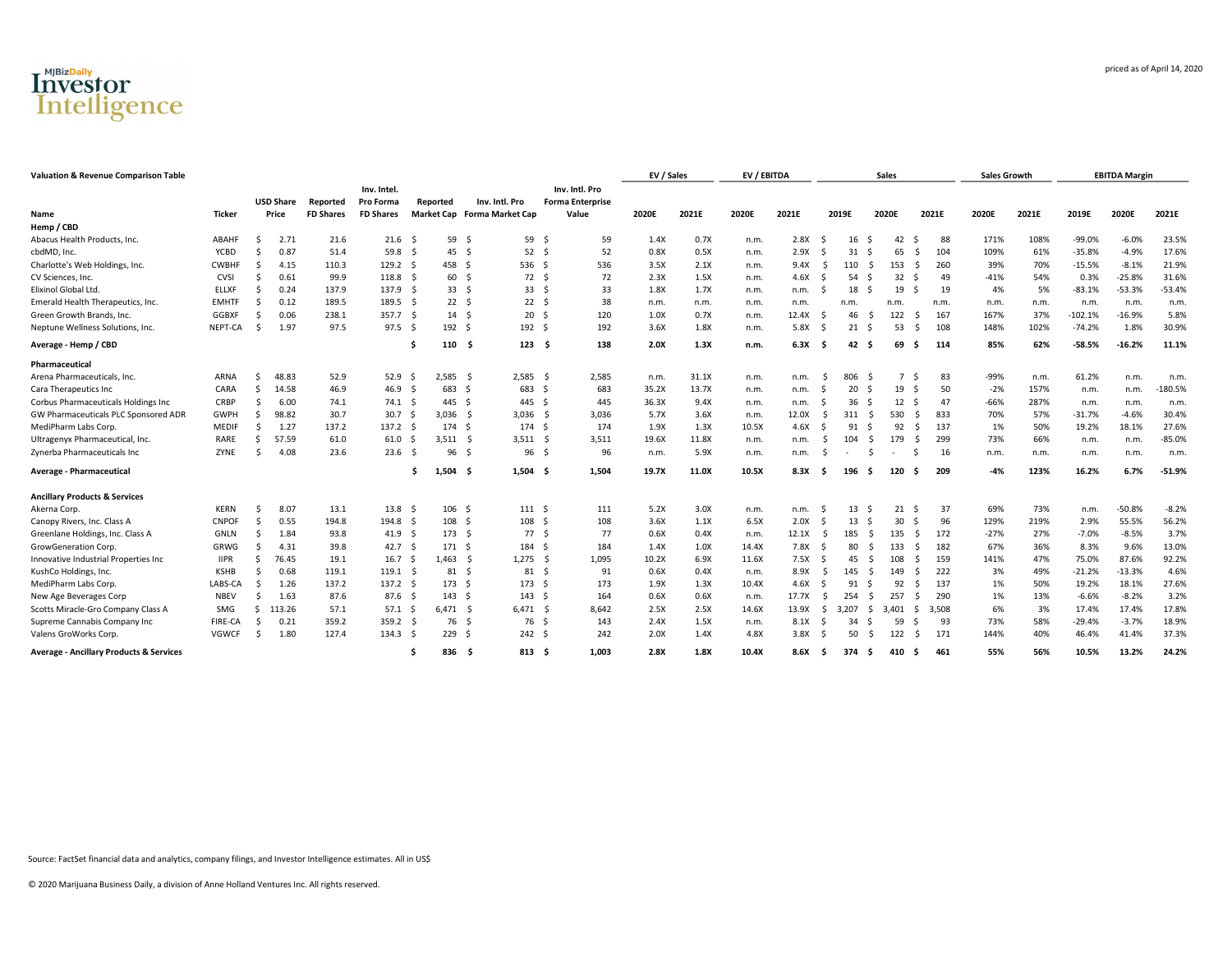

| Name                                               | Ticker       |          | <b>USD Share</b><br>Price | Reported<br><b>FD Shares</b> | Inv. Intel.<br>Pro Forma<br><b>FD Shares</b> |     | Reported         | Inv. Intl. Pro<br>Market Cap Forma Market Cap |            | Inv. Intl. Pro<br><b>Forma Enterprise</b><br>Value | 2020E | 2021E | 2020E | 2021E |     | 2019E                    |      | 2020E          | 2021E       | 2020E  | 2021E | 2019E     | 2020E    | 2021E     |
|----------------------------------------------------|--------------|----------|---------------------------|------------------------------|----------------------------------------------|-----|------------------|-----------------------------------------------|------------|----------------------------------------------------|-------|-------|-------|-------|-----|--------------------------|------|----------------|-------------|--------|-------|-----------|----------|-----------|
| Hemp / CBD                                         |              |          |                           |                              |                                              |     |                  |                                               |            |                                                    |       |       |       |       |     |                          |      |                |             |        |       |           |          |           |
| Abacus Health Products, Inc.                       | <b>ABAHF</b> | ∫ <      | 2.71                      | 21.6                         | 21.6 <sub>5</sub>                            |     | 59 \$            | 59                                            | - \$       | 59                                                 | 1.4X  | 0.7X  | n.m.  | 2.8X  | -S  | 16                       | - Ś  | 42             | 88<br>S.    | 171%   | 108%  | $-99.0%$  | $-6.0%$  | 23.5%     |
| cbdMD, Inc.                                        | YCBD         | <b>S</b> | 0.87                      | 51.4                         | 59.8 <sup>5</sup>                            |     | 45               | 52<br>- \$                                    | - S        | 52                                                 | 0.8X  | 0.5X  | n.m.  | 2.9X  | .S  | 31                       | - S  | 65             | 104<br>-S   | 109%   | 61%   | $-35.8%$  | $-4.9%$  | 17.6%     |
| Charlotte's Web Holdings, Inc.                     | <b>CWBHF</b> | -S       | 4.15                      | 110.3                        | $129.2$ \$                                   |     | 458 \$           | 536 \$                                        |            | 536                                                | 3.5X  | 2.1X  | n.m.  | 9.4X  | -S  | 110                      | - S  | 153            | 260<br>- \$ | 39%    | 70%   | $-15.5%$  | $-8.1%$  | 21.9%     |
| CV Sciences, Inc.                                  | CVSI         | Ŝ.       | 0.61                      | 99.9                         | 118.8 \$                                     |     | 60               | 72 \$<br>- \$                                 |            | 72                                                 | 2.3X  | 1.5X  | n.m.  | 4.6X  | .S  | 54                       | - S  | 32             | -Ś<br>49    | $-41%$ | 54%   | 0.3%      | $-25.8%$ | 31.6%     |
| Elixinol Global Ltd.                               | <b>ELLXF</b> | -Ś       | 0.24                      | 137.9                        | 137.9 <sup>5</sup>                           |     | 33 <sup>5</sup>  | 33                                            | - \$       | 33                                                 | 1.8X  | 1.7X  | n.m.  | n.m.  | -S  | 18                       | - S  | 19             | -Ś<br>19    | 4%     | 5%    | $-83.1%$  | $-53.3%$ | $-53.4%$  |
| Emerald Health Therapeutics, Inc.                  | <b>EMHTF</b> | -Ś       | 0.12                      | 189.5                        | 189.5 \$                                     |     | 22 <sup>5</sup>  |                                               | $22 \quad$ | 38                                                 | n.m.  | n.m.  | n.m.  | n.m.  |     | n.m.                     |      | n.m.           | n.m.        | n.m.   | n.m.  | n.m.      | n.m.     | n.m.      |
| Green Growth Brands, Inc.                          | GGBXF        | S.       | 0.06                      | 238.1                        | 357.7 S                                      |     | 14 S             | 20                                            | - S        | 120                                                | 1.0X  | 0.7X  | n.m.  | 12.4X | -S  | 46                       | -S   | 122            | -S<br>167   | 167%   | 37%   | $-102.1%$ | $-16.9%$ | 5.8%      |
| Neptune Wellness Solutions, Inc.                   | NEPT-CA      | -S       | 1.97                      | 97.5                         | $97.5$ \$                                    |     | 192 <sup>5</sup> | 192 \$                                        |            | 192                                                | 3.6X  | 1.8X  | n.m.  | 5.8X  | .S  | 21                       | - S  | 53             | 108<br>S    | 148%   | 102%  | $-74.2%$  | 1.8%     | 30.9%     |
| Average - Hemp / CBD                               |              |          |                           |                              |                                              | Ŝ   | 110S             | $123 \quad$ \$                                |            | 138                                                | 2.0X  | 1.3X  | n.m.  | 6.3X  | .s  | 42                       | - S  | 69             | - Ś<br>114  | 85%    | 62%   | $-58.5%$  | $-16.2%$ | 11.1%     |
| Pharmaceutical                                     |              |          |                           |                              |                                              |     |                  |                                               |            |                                                    |       |       |       |       |     |                          |      |                |             |        |       |           |          |           |
| Arena Pharmaceuticals, Inc.                        | ARNA         | -S       | 48.83                     | 52.9                         | 52.9                                         |     | $2,585$ \$       | 2,585                                         | - \$       | 2,585                                              | n.m.  | 31.1X | n.m.  | n.m.  | Ś   | 806                      | - Ś  | $\overline{7}$ | 83<br>-Ś    | -99%   | n.m.  | 61.2%     | n.m.     | n.m.      |
| Cara Therapeutics Inc                              | CARA         | Ŝ.       | 14.58                     | 46.9                         | 46.9                                         | - Ś | 683              | 683<br>- Ś                                    | - Ś        | 683                                                | 35.2X | 13.7X | n.m.  | n.m.  | -Ś  | 20                       | - Ś  | 19             | -Ś<br>50    | $-2%$  | 157%  | n.m.      | n.m.     | $-180.5%$ |
| Corbus Pharmaceuticals Holdings Inc                | <b>CRBP</b>  | S.       | 6.00                      | 74.1                         | 74.1 S                                       |     | 445              | - S<br>445                                    | - S        | 445                                                | 36.3X | 9.4X  | n.m.  | n.m.  | S   | 36                       | - S  | 12             | -Ś<br>47    | $-66%$ | 287%  | n.m.      | n.m.     | n.m.      |
| GW Pharmaceuticals PLC Sponsored ADR               | <b>GWPH</b>  |          | 98.82                     | 30.7                         | 30.7                                         | -S  | 3,036            | 3,036<br>- 9                                  | - S        | 3,036                                              | 5.7X  | 3.6X  | n.m.  | 12.0X | S   | 311                      | - \$ | 530            | - Ś<br>833  | 70%    | 57%   | $-31.7%$  | $-4.6%$  | 30.4%     |
| MediPharm Labs Corp.                               | <b>MEDIF</b> | Š.       | 1.27                      | 137.2                        | 137.2 <sub>5</sub>                           |     | 174              | 174<br>- S                                    | - S        | 174                                                | 1.9X  | 1.3X  | 10.5X | 4.6X  | -S  | 91                       | - S  | 92             | 137<br>-S   | 1%     | 50%   | 19.2%     | 18.1%    | 27.6%     |
| Ultragenyx Pharmaceutical, Inc.                    | RARE         |          | 57.59                     | 61.0                         | 61.0                                         | -S  | $3,511$ \$       | 3,511                                         | - S        | 3,511                                              | 19.6X | 11.8X | n.m.  | n.m.  | S   | 104                      | -S   | 179            | 299<br>- Ś  | 73%    | 66%   | n.m.      | n.m.     | $-85.0%$  |
| Zynerba Pharmaceuticals Inc                        | ZYNE         | Ŝ.       | 4.08                      | 23.6                         | 23.6                                         | - S | 96               | 96<br>- \$                                    | - S        | 96                                                 | n.m.  | 5.9X  | n.m.  | n.m.  | S   | $\overline{\phantom{a}}$ | .s   | $\sim$         | 16<br>-S    | n.m.   | n.m.  | n.m.      | n.m.     | n.m.      |
| <b>Average - Pharmaceutical</b>                    |              |          |                           |                              |                                              | s   | $1,504$ \$       | $1,504$ \$                                    |            | 1,504                                              | 19.7X | 11.0X | 10.5X | 8.3X  | .s  | 196                      | - Ś  | 120            | 209<br>-S   | $-4%$  | 123%  | 16.2%     | 6.7%     | $-51.9%$  |
| <b>Ancillary Products &amp; Services</b>           |              |          |                           |                              |                                              |     |                  |                                               |            |                                                    |       |       |       |       |     |                          |      |                |             |        |       |           |          |           |
| Akerna Corp.                                       | <b>KERN</b>  | Ŝ.       | 8.07                      | 13.1                         | 13.8 <sup>5</sup>                            |     | 106 <sup>5</sup> | 111 <sup>5</sup>                              |            | 111                                                | 5.2X  | 3.0X  | n.m.  | n.m.  | -S  | 13                       | - S  | 21             | -Ś<br>37    | 69%    | 73%   | n.m.      | $-50.8%$ | $-8.2%$   |
| Canopy Rivers, Inc. Class A                        | <b>CNPOF</b> | Ŝ.       | 0.55                      | 194.8                        | 194.8 \$                                     |     | 108 <sup>5</sup> | 108 \$                                        |            | 108                                                | 3.6X  | 1.1X  | 6.5X  | 2.0X  | -S  | 13                       | - Ś  | 30             | 96<br>-Ś    | 129%   | 219%  | 2.9%      | 55.5%    | 56.2%     |
| Greenlane Holdings, Inc. Class A                   | <b>GNLN</b>  | S.       | 1.84                      | 93.8                         | 41.9 \$                                      |     | 173 \$           | 77                                            | - S        | 77                                                 | 0.6X  | 0.4X  | n.m.  | 12.1X | .S  | 185                      | - S  | 135            | 172<br>- S  | $-27%$ | 27%   | $-7.0%$   | $-8.5%$  | 3.7%      |
| GrowGeneration Corp.                               | GRWG         |          | 4.31                      | 39.8                         | 42.7 \$                                      |     | 171 \$           | 184                                           | - S        | 184                                                | 1.4X  | 1.0X  | 14.4X | 7.8X  | - S | 80                       | -S   | 133            | - \$<br>182 | 67%    | 36%   | 8.3%      | 9.6%     | 13.0%     |
| Innovative Industrial Properties Inc               | <b>IIPR</b>  |          | 76.45                     | 19.1                         | 16.7 <sup>5</sup>                            |     | 1,463 \$         | 1,275                                         | - S        | 1,095                                              | 10.2X | 6.9X  | 11.6X | 7.5X  | - S | 45                       | - Ś  | 108            | - Ś<br>159  | 141%   | 47%   | 75.0%     | 87.6%    | 92.2%     |
| KushCo Holdings, Inc.                              | <b>KSHB</b>  |          | 0.68                      | 119.1                        | 119.1 S                                      |     | 81 S             | 81                                            | - S        | 91                                                 | 0.6X  | 0.4X  | n.m.  | 8.9X  | .S  | 145                      | - S  | 149            | - Ś<br>222  | 3%     | 49%   | $-21.2%$  | $-13.3%$ | 4.6%      |
| MediPharm Labs Corp.                               | LABS-CA      |          | 1.26                      | 137.2                        | $137.2 \quad$                                |     | 173 \$           | 173 <sup>5</sup>                              |            | 173                                                | 1.9X  | 1.3X  | 10.4X | 4.6X  | -S  | 91                       | - Ś  | 92             | - Ś<br>137  | 1%     | 50%   | 19.2%     | 18.1%    | 27.6%     |
| New Age Beverages Corp                             | <b>NBEV</b>  |          | 1.63                      | 87.6                         | $87.6-5$                                     |     | 143S             | 143                                           | - S        | 164                                                | 0.6X  | 0.6X  | n.m.  | 17.7X | -Ś  | 254                      | -S   | 257            | 290<br>-S   | 1%     | 13%   | $-6.6%$   | $-8.2%$  | 3.2%      |
| Scotts Miracle-Gro Company Class A                 | SMG          | -S       | 113.26                    | 57.1                         | $57.1$ \$                                    |     | $6.471$ \$       | $6,471$ \$                                    |            | 8,642                                              | 2.5X  | 2.5X  | 14.6X | 13.9X | -S  | 3.207                    | -S   | 3.401          | S.<br>3,508 | 6%     | 3%    | 17.4%     | 17.4%    | 17.8%     |
| Supreme Cannabis Company Inc                       | FIRE-CA      |          | 0.21                      | 359.2                        | 359.2 <sub>5</sub>                           |     | 76 \$            | 76                                            | - S        | 143                                                | 2.4X  | 1.5X  | n.m.  | 8.1X  | -Ś  | 34                       | - Ś  | 59             | -S<br>93    | 73%    | 58%   | $-29.4%$  | $-3.7%$  | 18.9%     |
| Valens GroWorks Corp.                              | VGWCF        |          | 1.80                      | 127.4                        | $134.3$ \$                                   |     | 229 <sup>5</sup> | 242S                                          |            | 242                                                | 2.0X  | 1.4X  | 4.8X  | 3.8X  |     | 50                       | -Ś   | 122            | - Ś<br>171  | 144%   | 40%   | 46.4%     | 41.4%    | 37.3%     |
| <b>Average - Ancillary Products &amp; Services</b> |              |          |                           |                              |                                              | ŝ.  | 836              | 813 <sub>5</sub>                              |            | 1.003                                              | 2.8X  | 1.8X  | 10.4X | 8.6X  | -S  | 374                      | - Ś  | 410            | 461<br>- S  | 55%    | 56%   | 10.5%     | 13.2%    | 24.2%     |

Valuation & Revenue Comparison Table **EBITDA** Margin **COMPATISON** EV / Sales EV / EBITDA Sales Sales Sales Sales Sales Sales Sales Sales Sales Sales Sales Sales Sales Sales Sales Sales Sales Sales Sales Sales Sales Sales S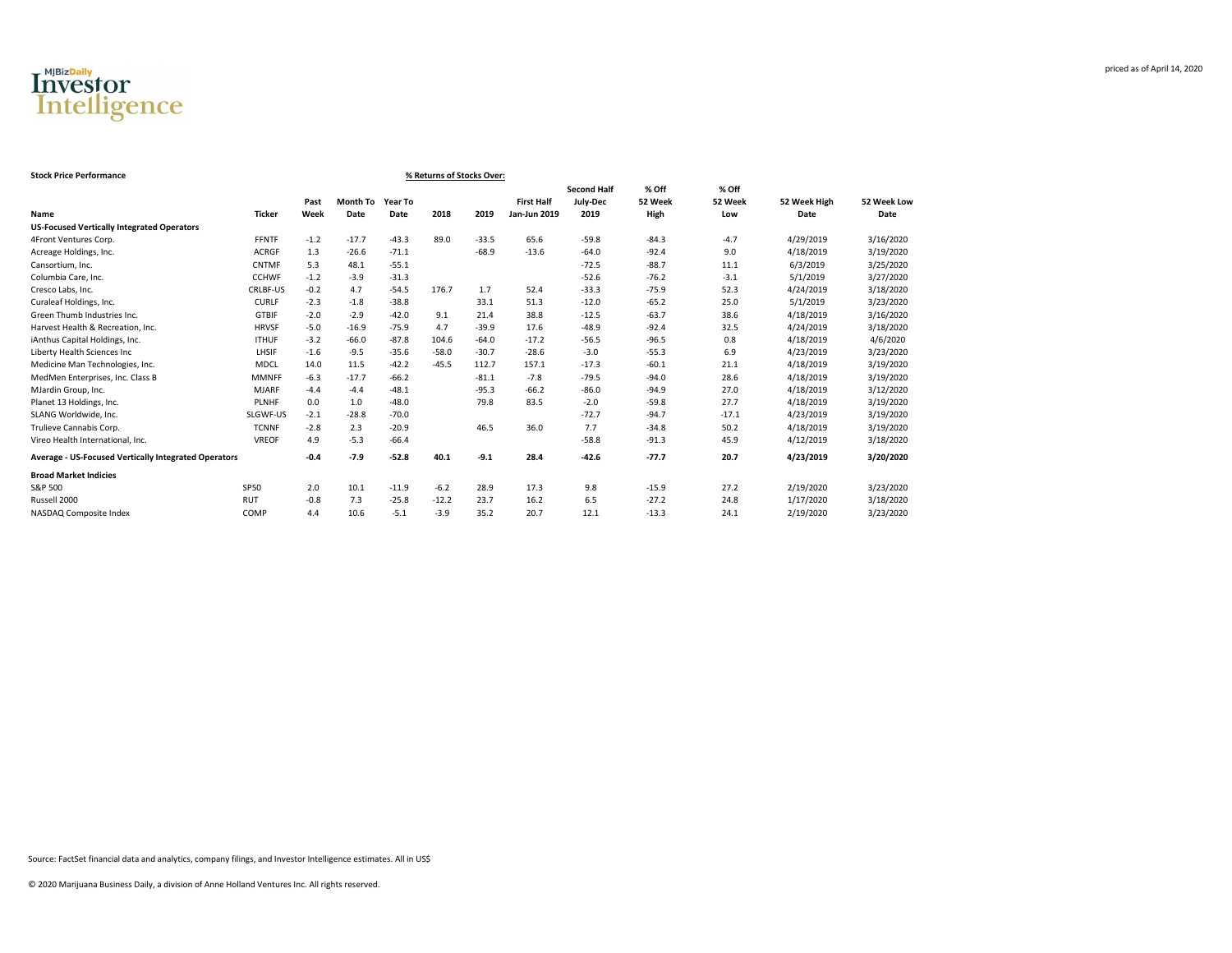

| <b>Stock Price Performance</b>                       |                 |        |                 |         | % Returns of Stocks Over: |         |                     |                    |         |         |              |             |
|------------------------------------------------------|-----------------|--------|-----------------|---------|---------------------------|---------|---------------------|--------------------|---------|---------|--------------|-------------|
|                                                      |                 |        |                 |         |                           |         |                     | <b>Second Half</b> | % Off   | % Off   |              |             |
|                                                      |                 | Past   | <b>Month To</b> | Year To |                           |         | <b>First Half</b>   | July-Dec           | 52 Week | 52 Week | 52 Week High | 52 Week Low |
| Name                                                 | <b>Ticker</b>   | Week   | Date            | Date    | 2018                      | 2019    | <b>Jan-Jun 2019</b> | 2019               | High    | Low     | Date         | Date        |
| <b>US-Focused Vertically Integrated Operators</b>    |                 |        |                 |         |                           |         |                     |                    |         |         |              |             |
| 4Front Ventures Corp.                                | <b>FFNTF</b>    | $-1.2$ | $-17.7$         | $-43.3$ | 89.0                      | $-33.5$ | 65.6                | $-59.8$            | $-84.3$ | $-4.7$  | 4/29/2019    | 3/16/2020   |
| Acreage Holdings, Inc.                               | <b>ACRGF</b>    | 1.3    | $-26.6$         | $-71.1$ |                           | $-68.9$ | $-13.6$             | $-64.0$            | $-92.4$ | 9.0     | 4/18/2019    | 3/19/2020   |
| Cansortium, Inc.                                     | <b>CNTMF</b>    | 5.3    | 48.1            | $-55.1$ |                           |         |                     | $-72.5$            | $-88.7$ | 11.1    | 6/3/2019     | 3/25/2020   |
| Columbia Care, Inc.                                  | <b>CCHWF</b>    | $-1.2$ | $-3.9$          | $-31.3$ |                           |         |                     | $-52.6$            | $-76.2$ | $-3.1$  | 5/1/2019     | 3/27/2020   |
| Cresco Labs, Inc.                                    | <b>CRLBF-US</b> | $-0.2$ | 4.7             | $-54.5$ | 176.7                     | 1.7     | 52.4                | $-33.3$            | $-75.9$ | 52.3    | 4/24/2019    | 3/18/2020   |
| Curaleaf Holdings, Inc.                              | <b>CURLF</b>    | $-2.3$ | $-1.8$          | $-38.8$ |                           | 33.1    | 51.3                | $-12.0$            | $-65.2$ | 25.0    | 5/1/2019     | 3/23/2020   |
| Green Thumb Industries Inc.                          | <b>GTBIF</b>    | $-2.0$ | $-2.9$          | $-42.0$ | 9.1                       | 21.4    | 38.8                | $-12.5$            | $-63.7$ | 38.6    | 4/18/2019    | 3/16/2020   |
| Harvest Health & Recreation, Inc.                    | <b>HRVSF</b>    | $-5.0$ | $-16.9$         | $-75.9$ | 4.7                       | $-39.9$ | 17.6                | $-48.9$            | $-92.4$ | 32.5    | 4/24/2019    | 3/18/2020   |
| iAnthus Capital Holdings, Inc.                       | <b>ITHUF</b>    | $-3.2$ | $-66.0$         | $-87.8$ | 104.6                     | $-64.0$ | $-17.2$             | $-56.5$            | $-96.5$ | 0.8     | 4/18/2019    | 4/6/2020    |
| Liberty Health Sciences Inc                          | LHSIF           | $-1.6$ | $-9.5$          | $-35.6$ | $-58.0$                   | $-30.7$ | $-28.6$             | $-3.0$             | $-55.3$ | 6.9     | 4/23/2019    | 3/23/2020   |
| Medicine Man Technologies, Inc.                      | MDCL            | 14.0   | 11.5            | $-42.2$ | $-45.5$                   | 112.7   | 157.1               | $-17.3$            | $-60.1$ | 21.1    | 4/18/2019    | 3/19/2020   |
| MedMen Enterprises, Inc. Class B                     | <b>MMNFF</b>    | $-6.3$ | $-17.7$         | $-66.2$ |                           | $-81.1$ | $-7.8$              | $-79.5$            | $-94.0$ | 28.6    | 4/18/2019    | 3/19/2020   |
| MJardin Group, Inc.                                  | <b>MJARF</b>    | $-4.4$ | $-4.4$          | $-48.1$ |                           | $-95.3$ | $-66.2$             | $-86.0$            | $-94.9$ | 27.0    | 4/18/2019    | 3/12/2020   |
| Planet 13 Holdings, Inc.                             | <b>PLNHF</b>    | 0.0    | 1.0             | $-48.0$ |                           | 79.8    | 83.5                | $-2.0$             | $-59.8$ | 27.7    | 4/18/2019    | 3/19/2020   |
| SLANG Worldwide, Inc.                                | SLGWF-US        | $-2.1$ | $-28.8$         | $-70.0$ |                           |         |                     | $-72.7$            | $-94.7$ | $-17.1$ | 4/23/2019    | 3/19/2020   |
| Trulieve Cannabis Corp.                              | <b>TCNNF</b>    | $-2.8$ | 2.3             | $-20.9$ |                           | 46.5    | 36.0                | 7.7                | $-34.8$ | 50.2    | 4/18/2019    | 3/19/2020   |
| Vireo Health International, Inc.                     | <b>VREOF</b>    | 4.9    | $-5.3$          | $-66.4$ |                           |         |                     | $-58.8$            | $-91.3$ | 45.9    | 4/12/2019    | 3/18/2020   |
| Average - US-Focused Vertically Integrated Operators |                 | $-0.4$ | $-7.9$          | $-52.8$ | 40.1                      | $-9.1$  | 28.4                | $-42.6$            | $-77.7$ | 20.7    | 4/23/2019    | 3/20/2020   |
| <b>Broad Market Indicies</b>                         |                 |        |                 |         |                           |         |                     |                    |         |         |              |             |
| S&P 500                                              | <b>SP50</b>     | 2.0    | 10.1            | $-11.9$ | $-6.2$                    | 28.9    | 17.3                | 9.8                | $-15.9$ | 27.2    | 2/19/2020    | 3/23/2020   |
| Russell 2000                                         | <b>RUT</b>      | $-0.8$ | 7.3             | $-25.8$ | $-12.2$                   | 23.7    | 16.2                | 6.5                | $-27.2$ | 24.8    | 1/17/2020    | 3/18/2020   |
| NASDAQ Composite Index                               | COMP            | 4.4    | 10.6            | $-5.1$  | $-3.9$                    | 35.2    | 20.7                | 12.1               | $-13.3$ | 24.1    | 2/19/2020    | 3/23/2020   |

Source: FactSet financial data and analytics, company filings, and Investor Intelligence estimates. All in US\$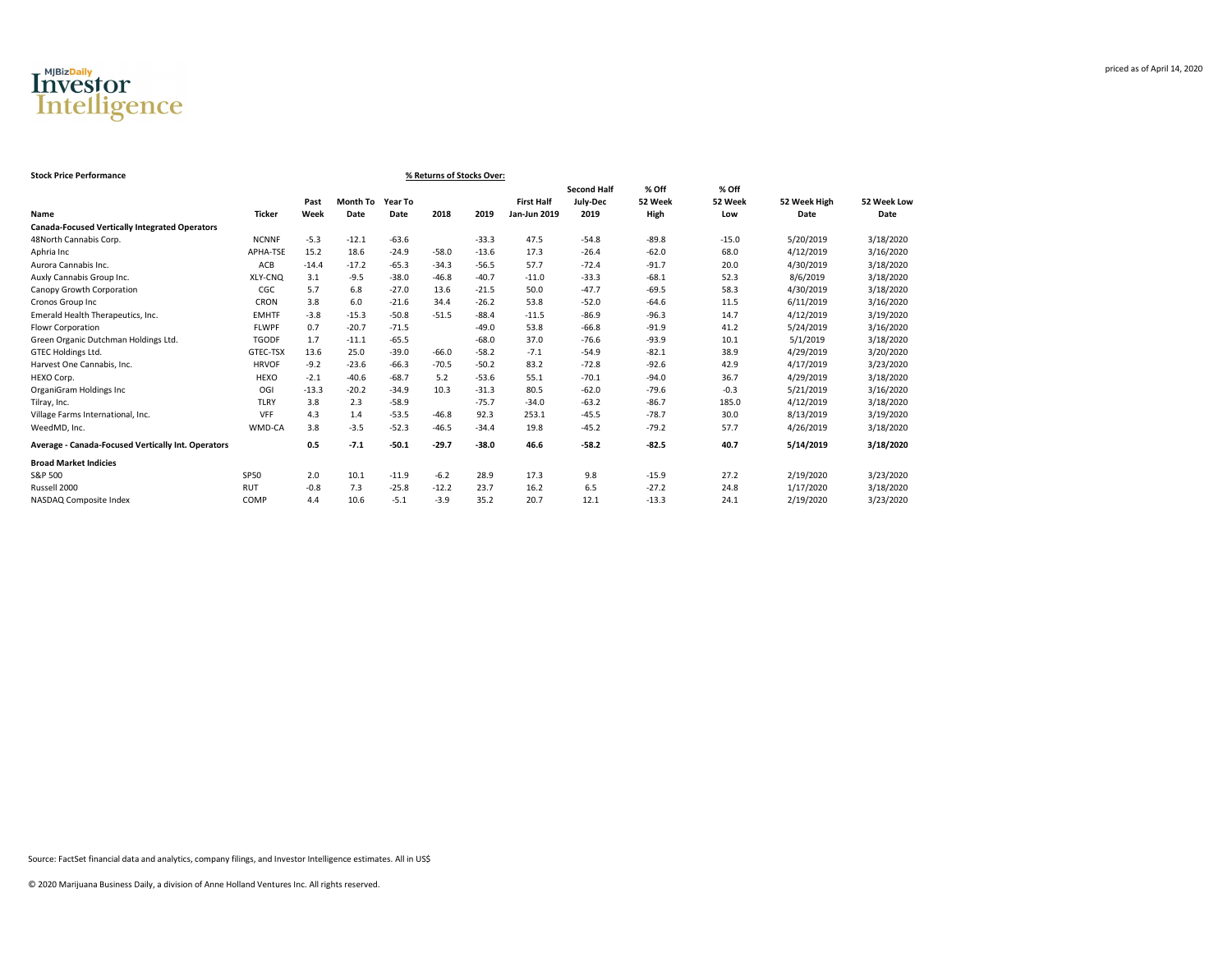

| <b>Stock Price Performance</b>                        |               |         |                 |         | % Returns of Stocks Over: |         |                     |                    |         |         |              |             |
|-------------------------------------------------------|---------------|---------|-----------------|---------|---------------------------|---------|---------------------|--------------------|---------|---------|--------------|-------------|
|                                                       |               |         |                 |         |                           |         |                     | <b>Second Half</b> | % Off   | % Off   |              |             |
|                                                       |               | Past    | <b>Month To</b> | Year To |                           |         | <b>First Half</b>   | July-Dec           | 52 Week | 52 Week | 52 Week High | 52 Week Low |
| Name                                                  | <b>Ticker</b> | Week    | Date            | Date    | 2018                      | 2019    | <b>Jan-Jun 2019</b> | 2019               | High    | Low     | Date         | Date        |
| <b>Canada-Focused Vertically Integrated Operators</b> |               |         |                 |         |                           |         |                     |                    |         |         |              |             |
| 48North Cannabis Corp.                                | <b>NCNNF</b>  | $-5.3$  | $-12.1$         | $-63.6$ |                           | $-33.3$ | 47.5                | $-54.8$            | $-89.8$ | $-15.0$ | 5/20/2019    | 3/18/2020   |
| Aphria Inc                                            | APHA-TSE      | 15.2    | 18.6            | $-24.9$ | $-58.0$                   | $-13.6$ | 17.3                | $-26.4$            | $-62.0$ | 68.0    | 4/12/2019    | 3/16/2020   |
| Aurora Cannabis Inc.                                  | ACB           | $-14.4$ | $-17.2$         | $-65.3$ | $-34.3$                   | $-56.5$ | 57.7                | $-72.4$            | $-91.7$ | 20.0    | 4/30/2019    | 3/18/2020   |
| Auxly Cannabis Group Inc.                             | XLY-CNQ       | 3.1     | $-9.5$          | $-38.0$ | $-46.8$                   | $-40.7$ | $-11.0$             | $-33.3$            | $-68.1$ | 52.3    | 8/6/2019     | 3/18/2020   |
| Canopy Growth Corporation                             | CGC           | 5.7     | 6.8             | $-27.0$ | 13.6                      | $-21.5$ | 50.0                | $-47.7$            | $-69.5$ | 58.3    | 4/30/2019    | 3/18/2020   |
| Cronos Group Inc                                      | <b>CRON</b>   | 3.8     | 6.0             | $-21.6$ | 34.4                      | $-26.2$ | 53.8                | $-52.0$            | $-64.6$ | 11.5    | 6/11/2019    | 3/16/2020   |
| Emerald Health Therapeutics, Inc.                     | <b>EMHTF</b>  | $-3.8$  | $-15.3$         | $-50.8$ | $-51.5$                   | $-88.4$ | $-11.5$             | $-86.9$            | $-96.3$ | 14.7    | 4/12/2019    | 3/19/2020   |
| Flowr Corporation                                     | <b>FLWPF</b>  | 0.7     | $-20.7$         | $-71.5$ |                           | $-49.0$ | 53.8                | $-66.8$            | $-91.9$ | 41.2    | 5/24/2019    | 3/16/2020   |
| Green Organic Dutchman Holdings Ltd.                  | <b>TGODF</b>  | 1.7     | $-11.1$         | $-65.5$ |                           | $-68.0$ | 37.0                | $-76.6$            | $-93.9$ | 10.1    | 5/1/2019     | 3/18/2020   |
| GTEC Holdings Ltd.                                    | GTEC-TSX      | 13.6    | 25.0            | $-39.0$ | $-66.0$                   | $-58.2$ | $-7.1$              | $-54.9$            | $-82.1$ | 38.9    | 4/29/2019    | 3/20/2020   |
| Harvest One Cannabis, Inc.                            | <b>HRVOF</b>  | $-9.2$  | $-23.6$         | $-66.3$ | $-70.5$                   | $-50.2$ | 83.2                | $-72.8$            | $-92.6$ | 42.9    | 4/17/2019    | 3/23/2020   |
| HEXO Corp.                                            | <b>HEXO</b>   | $-2.1$  | $-40.6$         | $-68.7$ | 5.2                       | $-53.6$ | 55.1                | $-70.1$            | $-94.0$ | 36.7    | 4/29/2019    | 3/18/2020   |
| OrganiGram Holdings Inc                               | OGI           | $-13.3$ | $-20.2$         | $-34.9$ | 10.3                      | $-31.3$ | 80.5                | $-62.0$            | $-79.6$ | $-0.3$  | 5/21/2019    | 3/16/2020   |
| Tilray, Inc.                                          | <b>TLRY</b>   | 3.8     | 2.3             | $-58.9$ |                           | $-75.7$ | $-34.0$             | $-63.2$            | $-86.7$ | 185.0   | 4/12/2019    | 3/18/2020   |
| Village Farms International, Inc.                     | VFF           | 4.3     | 1.4             | $-53.5$ | $-46.8$                   | 92.3    | 253.1               | $-45.5$            | $-78.7$ | 30.0    | 8/13/2019    | 3/19/2020   |
| WeedMD, Inc.                                          | WMD-CA        | 3.8     | $-3.5$          | $-52.3$ | $-46.5$                   | $-34.4$ | 19.8                | $-45.2$            | $-79.2$ | 57.7    | 4/26/2019    | 3/18/2020   |
| Average - Canada-Focused Vertically Int. Operators    |               | 0.5     | $-7.1$          | $-50.1$ | $-29.7$                   | $-38.0$ | 46.6                | $-58.2$            | $-82.5$ | 40.7    | 5/14/2019    | 3/18/2020   |
| <b>Broad Market Indicies</b>                          |               |         |                 |         |                           |         |                     |                    |         |         |              |             |
| S&P 500                                               | <b>SP50</b>   | 2.0     | 10.1            | $-11.9$ | $-6.2$                    | 28.9    | 17.3                | 9.8                | $-15.9$ | 27.2    | 2/19/2020    | 3/23/2020   |
| Russell 2000                                          | <b>RUT</b>    | $-0.8$  | 7.3             | $-25.8$ | $-12.2$                   | 23.7    | 16.2                | 6.5                | $-27.2$ | 24.8    | 1/17/2020    | 3/18/2020   |
| NASDAQ Composite Index                                | COMP          | 4.4     | 10.6            | $-5.1$  | $-3.9$                    | 35.2    | 20.7                | 12.1               | $-13.3$ | 24.1    | 2/19/2020    | 3/23/2020   |

priced as of April 14, 2020